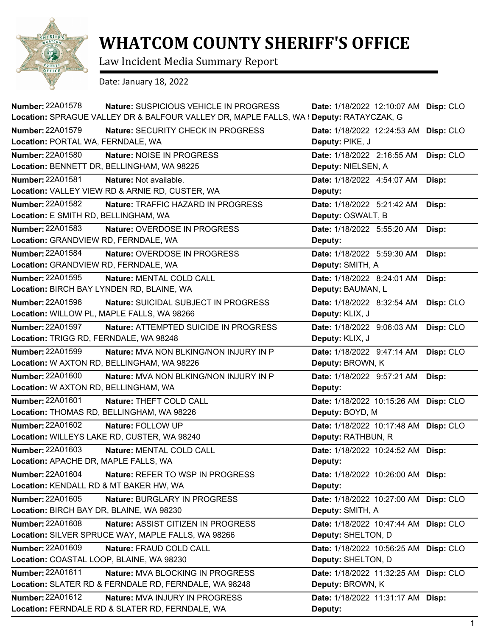

## **WHATCOM COUNTY SHERIFF'S OFFICE**

Law Incident Media Summary Report

Date: January 18, 2022

| <b>Number: 22A01578</b><br>Nature: SUSPICIOUS VEHICLE IN PROGRESS                       | Date: 1/18/2022 12:10:07 AM Disp: CLO    |
|-----------------------------------------------------------------------------------------|------------------------------------------|
| Location: SPRAGUE VALLEY DR & BALFOUR VALLEY DR, MAPLE FALLS, WA ! Deputy: RATAYCZAK, G |                                          |
| <b>Number: 22A01579</b><br>Nature: SECURITY CHECK IN PROGRESS                           | Date: 1/18/2022 12:24:53 AM Disp: CLO    |
| Location: PORTAL WA, FERNDALE, WA                                                       | Deputy: PIKE, J                          |
| <b>Number: 22A01580</b><br>Nature: NOISE IN PROGRESS                                    | Date: 1/18/2022 2:16:55 AM<br>Disp: CLO  |
| Location: BENNETT DR, BELLINGHAM, WA 98225                                              | Deputy: NIELSEN, A                       |
| <b>Number: 22A01581</b><br>Nature: Not available.                                       | Date: 1/18/2022 4:54:07 AM<br>Disp:      |
| Location: VALLEY VIEW RD & ARNIE RD, CUSTER, WA                                         | Deputy:                                  |
| <b>Number: 22A01582</b><br>Nature: TRAFFIC HAZARD IN PROGRESS                           | Date: 1/18/2022 5:21:42 AM<br>Disp:      |
| Location: E SMITH RD, BELLINGHAM, WA                                                    | Deputy: OSWALT, B                        |
| <b>Number: 22A01583</b><br>Nature: OVERDOSE IN PROGRESS                                 | Date: 1/18/2022 5:55:20 AM<br>Disp:      |
| Location: GRANDVIEW RD, FERNDALE, WA                                                    | Deputy:                                  |
| Number: 22A01584<br>Nature: OVERDOSE IN PROGRESS                                        | Date: 1/18/2022 5:59:30 AM<br>Disp:      |
| Location: GRANDVIEW RD, FERNDALE, WA                                                    | Deputy: SMITH, A                         |
| Number: 22A01595<br>Nature: MENTAL COLD CALL                                            | Date: 1/18/2022 8:24:01 AM<br>Disp:      |
| Location: BIRCH BAY LYNDEN RD, BLAINE, WA                                               | Deputy: BAUMAN, L                        |
| Number: 22A01596<br>Nature: SUICIDAL SUBJECT IN PROGRESS                                | Date: 1/18/2022 8:32:54 AM<br>Disp: CLO  |
| Location: WILLOW PL, MAPLE FALLS, WA 98266                                              | Deputy: KLIX, J                          |
| Number: 22A01597<br>Nature: ATTEMPTED SUICIDE IN PROGRESS                               | Date: 1/18/2022 9:06:03 AM<br>Disp: CLO  |
| Location: TRIGG RD, FERNDALE, WA 98248                                                  | Deputy: KLIX, J                          |
| Number: 22A01599<br><b>Nature: MVA NON BLKING/NON INJURY IN P</b>                       | Date: 1/18/2022 9:47:14 AM<br>Disp: CLO  |
| Location: W AXTON RD, BELLINGHAM, WA 98226                                              | Deputy: BROWN, K                         |
| <b>Number: 22A01600</b><br>Nature: MVA NON BLKING/NON INJURY IN P                       | Date: 1/18/2022 9:57:21 AM<br>Disp:      |
| Location: W AXTON RD, BELLINGHAM, WA                                                    | Deputy:                                  |
| Number: 22A01601<br>Nature: THEFT COLD CALL                                             | Date: 1/18/2022 10:15:26 AM Disp: CLO    |
| Location: THOMAS RD, BELLINGHAM, WA 98226                                               | Deputy: BOYD, M                          |
| Number: 22A01602<br>Nature: FOLLOW UP                                                   | Date: 1/18/2022 10:17:48 AM<br>Disp: CLO |
| Location: WILLEYS LAKE RD, CUSTER, WA 98240                                             | Deputy: RATHBUN, R                       |
| Number: 22A01603<br>Nature: MENTAL COLD CALL                                            | Date: 1/18/2022 10:24:52 AM Disp:        |
| Location: APACHE DR, MAPLE FALLS, WA                                                    | Deputy:                                  |
| <b>Number: 22A01604</b><br><b>Nature: REFER TO WSP IN PROGRESS</b>                      | Date: 1/18/2022 10:26:00 AM Disp:        |
| Location: KENDALL RD & MT BAKER HW, WA                                                  | Deputy:                                  |
| Number: 22A01605<br>Nature: BURGLARY IN PROGRESS                                        | Date: 1/18/2022 10:27:00 AM Disp: CLO    |
| Location: BIRCH BAY DR, BLAINE, WA 98230                                                | Deputy: SMITH, A                         |
| Number: 22A01608<br>Nature: ASSIST CITIZEN IN PROGRESS                                  | Date: 1/18/2022 10:47:44 AM Disp: CLO    |
| Location: SILVER SPRUCE WAY, MAPLE FALLS, WA 98266                                      | Deputy: SHELTON, D                       |
| Number: 22A01609<br>Nature: FRAUD COLD CALL                                             | Date: 1/18/2022 10:56:25 AM Disp: CLO    |
| Location: COASTAL LOOP, BLAINE, WA 98230                                                | Deputy: SHELTON, D                       |
| Number: 22A01611<br>Nature: MVA BLOCKING IN PROGRESS                                    | Date: 1/18/2022 11:32:25 AM Disp: CLO    |
| Location: SLATER RD & FERNDALE RD, FERNDALE, WA 98248                                   | Deputy: BROWN, K                         |
| Number: 22A01612<br>Nature: MVA INJURY IN PROGRESS                                      | Date: 1/18/2022 11:31:17 AM Disp:        |
| Location: FERNDALE RD & SLATER RD, FERNDALE, WA                                         | Deputy:                                  |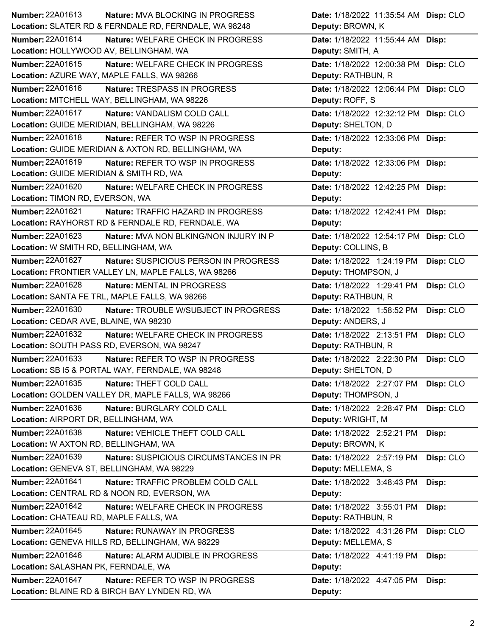| Number: 22A01613<br>Nature: MVA BLOCKING IN PROGRESS             | Date: 1/18/2022 11:35:54 AM Disp: CLO   |
|------------------------------------------------------------------|-----------------------------------------|
| Location: SLATER RD & FERNDALE RD, FERNDALE, WA 98248            | Deputy: BROWN, K                        |
| Number: 22A01614<br>Nature: WELFARE CHECK IN PROGRESS            | Date: 1/18/2022 11:55:44 AM Disp:       |
| Location: HOLLYWOOD AV, BELLINGHAM, WA                           | Deputy: SMITH, A                        |
| Number: 22A01615<br>Nature: WELFARE CHECK IN PROGRESS            | Date: 1/18/2022 12:00:38 PM Disp: CLO   |
| Location: AZURE WAY, MAPLE FALLS, WA 98266                       | Deputy: RATHBUN, R                      |
| Number: 22A01616<br>Nature: TRESPASS IN PROGRESS                 | Date: 1/18/2022 12:06:44 PM Disp: CLO   |
| Location: MITCHELL WAY, BELLINGHAM, WA 98226                     | Deputy: ROFF, S                         |
| Number: 22A01617<br>Nature: VANDALISM COLD CALL                  | Date: 1/18/2022 12:32:12 PM Disp: CLO   |
| Location: GUIDE MERIDIAN, BELLINGHAM, WA 98226                   | Deputy: SHELTON, D                      |
| Number: 22A01618<br>Nature: REFER TO WSP IN PROGRESS             | Date: 1/18/2022 12:33:06 PM Disp:       |
| Location: GUIDE MERIDIAN & AXTON RD, BELLINGHAM, WA              | Deputy:                                 |
| Number: 22A01619<br>Nature: REFER TO WSP IN PROGRESS             | Date: 1/18/2022 12:33:06 PM Disp:       |
| Location: GUIDE MERIDIAN & SMITH RD, WA                          | Deputy:                                 |
| Number: 22A01620<br>Nature: WELFARE CHECK IN PROGRESS            | Date: 1/18/2022 12:42:25 PM Disp:       |
| Location: TIMON RD, EVERSON, WA                                  | Deputy:                                 |
| Number: 22A01621<br>Nature: TRAFFIC HAZARD IN PROGRESS           | Date: 1/18/2022 12:42:41 PM Disp:       |
| Location: RAYHORST RD & FERNDALE RD, FERNDALE, WA                | Deputy:                                 |
| Number: 22A01623<br>Nature: MVA NON BLKING/NON INJURY IN P       | Date: 1/18/2022 12:54:17 PM Disp: CLO   |
| Location: W SMITH RD, BELLINGHAM, WA                             | Deputy: COLLINS, B                      |
| <b>Number: 22A01627</b><br>Nature: SUSPICIOUS PERSON IN PROGRESS | Date: 1/18/2022 1:24:19 PM<br>Disp: CLO |
| Location: FRONTIER VALLEY LN, MAPLE FALLS, WA 98266              | Deputy: THOMPSON, J                     |
| Number: 22A01628<br><b>Nature: MENTAL IN PROGRESS</b>            | Date: 1/18/2022 1:29:41 PM<br>Disp: CLO |
| Location: SANTA FE TRL, MAPLE FALLS, WA 98266                    | Deputy: RATHBUN, R                      |
| Number: 22A01630<br>Nature: TROUBLE W/SUBJECT IN PROGRESS        | Date: 1/18/2022 1:58:52 PM<br>Disp: CLO |
| Location: CEDAR AVE, BLAINE, WA 98230                            | Deputy: ANDERS, J                       |
| Number: 22A01632<br>Nature: WELFARE CHECK IN PROGRESS            | Date: 1/18/2022 2:13:51 PM<br>Disp: CLO |
| Location: SOUTH PASS RD, EVERSON, WA 98247                       | Deputy: RATHBUN, R                      |
| Number: 22A01633<br>Nature: REFER TO WSP IN PROGRESS             | Date: 1/18/2022 2:22:30 PM Disp: CLO    |
| Location: SB I5 & PORTAL WAY, FERNDALE, WA 98248                 | Deputy: SHELTON, D                      |
| Number: 22A01635<br>Nature: THEFT COLD CALL                      | Date: 1/18/2022 2:27:07 PM<br>Disp: CLO |
| Location: GOLDEN VALLEY DR, MAPLE FALLS, WA 98266                | Deputy: THOMPSON, J                     |
| Number: 22A01636<br>Nature: BURGLARY COLD CALL                   | Date: 1/18/2022 2:28:47 PM<br>Disp: CLO |
| Location: AIRPORT DR, BELLINGHAM, WA                             | Deputy: WRIGHT, M                       |
| Number: 22A01638<br>Nature: VEHICLE THEFT COLD CALL              | Date: 1/18/2022 2:52:21 PM<br>Disp:     |
| Location: W AXTON RD, BELLINGHAM, WA                             | Deputy: BROWN, K                        |
| Number: 22A01639<br>Nature: SUSPICIOUS CIRCUMSTANCES IN PR       | Date: 1/18/2022 2:57:19 PM<br>Disp: CLO |
| Location: GENEVA ST, BELLINGHAM, WA 98229                        | Deputy: MELLEMA, S                      |
| Number: 22A01641<br>Nature: TRAFFIC PROBLEM COLD CALL            | Date: 1/18/2022 3:48:43 PM<br>Disp:     |
| Location: CENTRAL RD & NOON RD, EVERSON, WA                      | Deputy:                                 |
| Number: 22A01642<br>Nature: WELFARE CHECK IN PROGRESS            | Date: 1/18/2022 3:55:01 PM<br>Disp:     |
| Location: CHATEAU RD, MAPLE FALLS, WA                            | Deputy: RATHBUN, R                      |
| <b>Number: 22A01645</b><br>Nature: RUNAWAY IN PROGRESS           | Disp: CLO<br>Date: 1/18/2022 4:31:26 PM |
| Location: GENEVA HILLS RD, BELLINGHAM, WA 98229                  | Deputy: MELLEMA, S                      |
| Number: 22A01646<br>Nature: ALARM AUDIBLE IN PROGRESS            | Date: 1/18/2022 4:41:19 PM<br>Disp:     |
| Location: SALASHAN PK, FERNDALE, WA                              | Deputy:                                 |
| <b>Number: 22A01647</b><br>Nature: REFER TO WSP IN PROGRESS      | Date: 1/18/2022 4:47:05 PM<br>Disp:     |
| Location: BLAINE RD & BIRCH BAY LYNDEN RD, WA                    | Deputy:                                 |
|                                                                  |                                         |